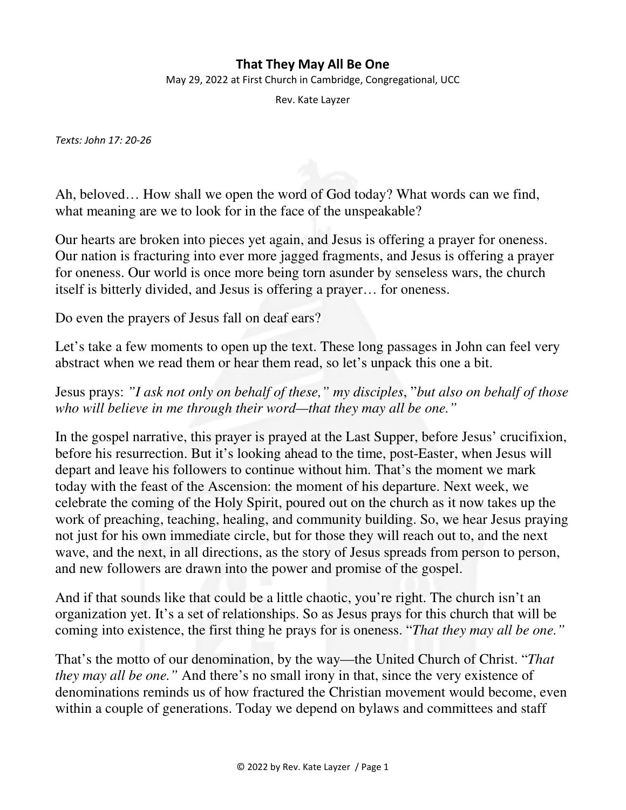## **That They May All Be One**

May 29, 2022 at First Church in Cambridge, Congregational, UCC

Rev. Kate Layzer

*Texts: John 17: 20-26* 

Ah, beloved… How shall we open the word of God today? What words can we find, what meaning are we to look for in the face of the unspeakable?

Our hearts are broken into pieces yet again, and Jesus is offering a prayer for oneness. Our nation is fracturing into ever more jagged fragments, and Jesus is offering a prayer for oneness. Our world is once more being torn asunder by senseless wars, the church itself is bitterly divided, and Jesus is offering a prayer… for oneness.

Do even the prayers of Jesus fall on deaf ears?

Let's take a few moments to open up the text. These long passages in John can feel very abstract when we read them or hear them read, so let's unpack this one a bit.

Jesus prays: *"I ask not only on behalf of these," my disciples*, "*but also on behalf of those who will believe in me through their word—that they may all be one."*

In the gospel narrative, this prayer is prayed at the Last Supper, before Jesus' crucifixion, before his resurrection. But it's looking ahead to the time, post-Easter, when Jesus will depart and leave his followers to continue without him. That's the moment we mark today with the feast of the Ascension: the moment of his departure. Next week, we celebrate the coming of the Holy Spirit, poured out on the church as it now takes up the work of preaching, teaching, healing, and community building. So, we hear Jesus praying not just for his own immediate circle, but for those they will reach out to, and the next wave, and the next, in all directions, as the story of Jesus spreads from person to person, and new followers are drawn into the power and promise of the gospel.

And if that sounds like that could be a little chaotic, you're right. The church isn't an organization yet. It's a set of relationships. So as Jesus prays for this church that will be coming into existence, the first thing he prays for is oneness. "*That they may all be one."*

That's the motto of our denomination, by the way—the United Church of Christ. "*That they may all be one.*" And there's no small irony in that, since the very existence of denominations reminds us of how fractured the Christian movement would become, even within a couple of generations. Today we depend on bylaws and committees and staff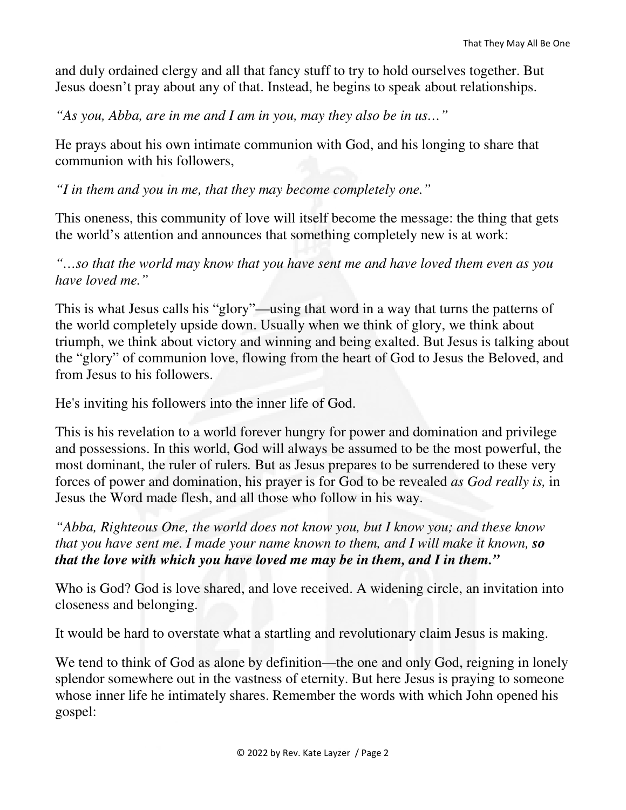and duly ordained clergy and all that fancy stuff to try to hold ourselves together. But Jesus doesn't pray about any of that. Instead, he begins to speak about relationships.

*"As you, Abba, are in me and I am in you, may they also be in us…"*

He prays about his own intimate communion with God, and his longing to share that communion with his followers,

*"I in them and you in me, that they may become completely one."*

This oneness, this community of love will itself become the message: the thing that gets the world's attention and announces that something completely new is at work:

*"…so that the world may know that you have sent me and have loved them even as you have loved me."* 

This is what Jesus calls his "glory"—using that word in a way that turns the patterns of the world completely upside down. Usually when we think of glory, we think about triumph, we think about victory and winning and being exalted. But Jesus is talking about the "glory" of communion love, flowing from the heart of God to Jesus the Beloved, and from Jesus to his followers.

He's inviting his followers into the inner life of God.

This is his revelation to a world forever hungry for power and domination and privilege and possessions. In this world, God will always be assumed to be the most powerful, the most dominant, the ruler of rulers*.* But as Jesus prepares to be surrendered to these very forces of power and domination, his prayer is for God to be revealed *as God really is,* in Jesus the Word made flesh, and all those who follow in his way.

*"Abba, Righteous One, the world does not know you, but I know you; and these know that you have sent me. I made your name known to them, and I will make it known, so that the love with which you have loved me may be in them, and I in them."*

Who is God? God is love shared, and love received. A widening circle, an invitation into closeness and belonging.

It would be hard to overstate what a startling and revolutionary claim Jesus is making.

We tend to think of God as alone by definition—the one and only God, reigning in lonely splendor somewhere out in the vastness of eternity. But here Jesus is praying to someone whose inner life he intimately shares. Remember the words with which John opened his gospel: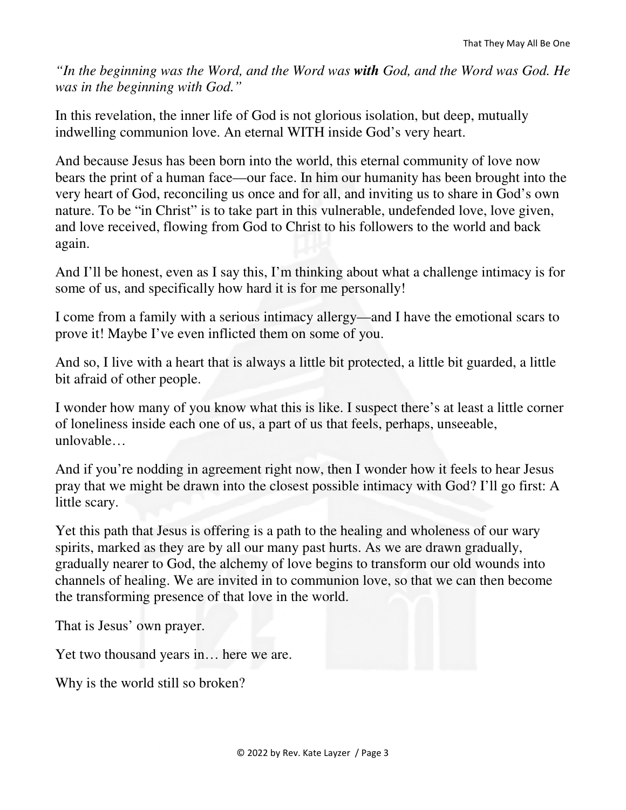*"In the beginning was the Word, and the Word was with God, and the Word was God. He was in the beginning with God."* 

In this revelation, the inner life of God is not glorious isolation, but deep, mutually indwelling communion love. An eternal WITH inside God's very heart.

And because Jesus has been born into the world, this eternal community of love now bears the print of a human face—our face. In him our humanity has been brought into the very heart of God, reconciling us once and for all, and inviting us to share in God's own nature. To be "in Christ" is to take part in this vulnerable, undefended love, love given, and love received, flowing from God to Christ to his followers to the world and back again.

And I'll be honest, even as I say this, I'm thinking about what a challenge intimacy is for some of us, and specifically how hard it is for me personally!

I come from a family with a serious intimacy allergy—and I have the emotional scars to prove it! Maybe I've even inflicted them on some of you.

And so, I live with a heart that is always a little bit protected, a little bit guarded, a little bit afraid of other people.

I wonder how many of you know what this is like. I suspect there's at least a little corner of loneliness inside each one of us, a part of us that feels, perhaps, unseeable, unlovable…

And if you're nodding in agreement right now, then I wonder how it feels to hear Jesus pray that we might be drawn into the closest possible intimacy with God? I'll go first: A little scary.

Yet this path that Jesus is offering is a path to the healing and wholeness of our wary spirits, marked as they are by all our many past hurts. As we are drawn gradually, gradually nearer to God, the alchemy of love begins to transform our old wounds into channels of healing. We are invited in to communion love, so that we can then become the transforming presence of that love in the world.

That is Jesus' own prayer.

Yet two thousand years in… here we are.

Why is the world still so broken?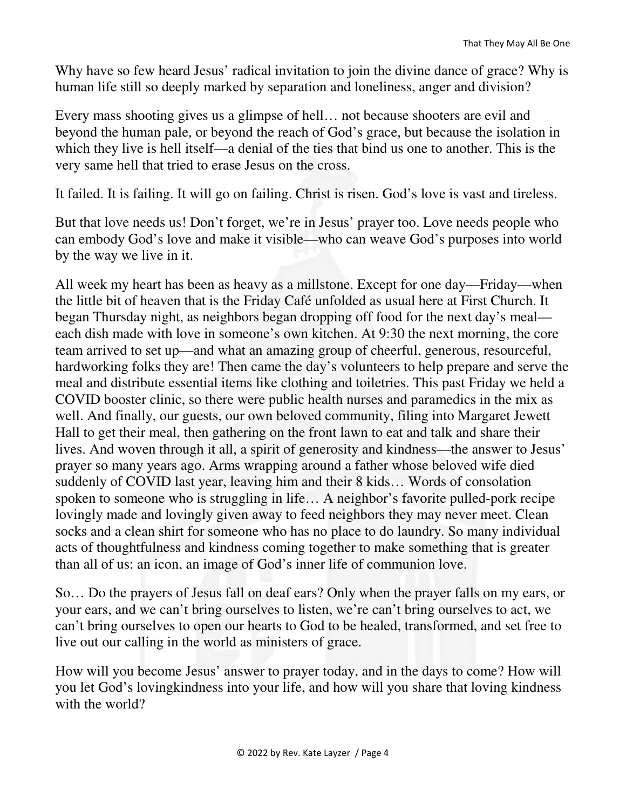Why have so few heard Jesus' radical invitation to join the divine dance of grace? Why is human life still so deeply marked by separation and loneliness, anger and division?

Every mass shooting gives us a glimpse of hell… not because shooters are evil and beyond the human pale, or beyond the reach of God's grace, but because the isolation in which they live is hell itself—a denial of the ties that bind us one to another. This is the very same hell that tried to erase Jesus on the cross.

It failed. It is failing. It will go on failing. Christ is risen. God's love is vast and tireless.

But that love needs us! Don't forget, we're in Jesus' prayer too. Love needs people who can embody God's love and make it visible—who can weave God's purposes into world by the way we live in it.

All week my heart has been as heavy as a millstone. Except for one day—Friday—when the little bit of heaven that is the Friday Café unfolded as usual here at First Church. It began Thursday night, as neighbors began dropping off food for the next day's meal each dish made with love in someone's own kitchen. At 9:30 the next morning, the core team arrived to set up—and what an amazing group of cheerful, generous, resourceful, hardworking folks they are! Then came the day's volunteers to help prepare and serve the meal and distribute essential items like clothing and toiletries. This past Friday we held a COVID booster clinic, so there were public health nurses and paramedics in the mix as well. And finally, our guests, our own beloved community, filing into Margaret Jewett Hall to get their meal, then gathering on the front lawn to eat and talk and share their lives. And woven through it all, a spirit of generosity and kindness—the answer to Jesus' prayer so many years ago. Arms wrapping around a father whose beloved wife died suddenly of COVID last year, leaving him and their 8 kids… Words of consolation spoken to someone who is struggling in life… A neighbor's favorite pulled-pork recipe lovingly made and lovingly given away to feed neighbors they may never meet. Clean socks and a clean shirt for someone who has no place to do laundry. So many individual acts of thoughtfulness and kindness coming together to make something that is greater than all of us: an icon, an image of God's inner life of communion love.

So… Do the prayers of Jesus fall on deaf ears? Only when the prayer falls on my ears, or your ears, and we can't bring ourselves to listen, we're can't bring ourselves to act, we can't bring ourselves to open our hearts to God to be healed, transformed, and set free to live out our calling in the world as ministers of grace.

How will you become Jesus' answer to prayer today, and in the days to come? How will you let God's lovingkindness into your life, and how will you share that loving kindness with the world?